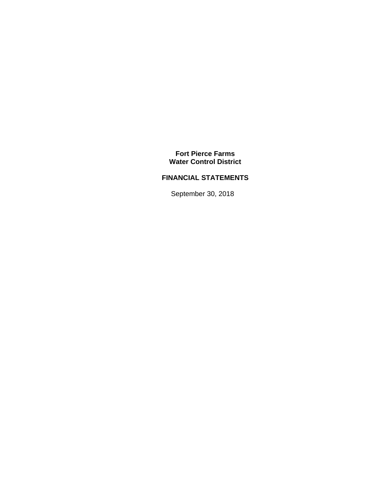# **Fort Pierce Farms Water Control District**

# **FINANCIAL STATEMENTS**

September 30, 2018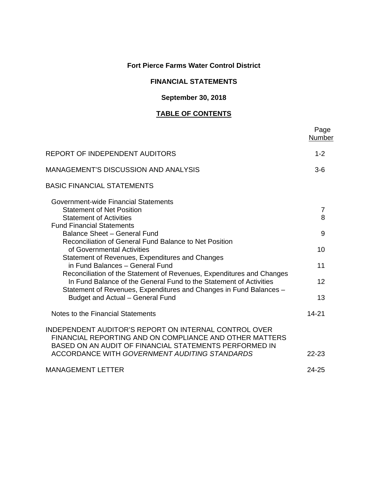# **Fort Pierce Farms Water Control District**

# **FINANCIAL STATEMENTS**

# **September 30, 2018**

# **TABLE OF CONTENTS**

|                                                                                                                                                                                                                                                                                                                           | Page<br>Number    |
|---------------------------------------------------------------------------------------------------------------------------------------------------------------------------------------------------------------------------------------------------------------------------------------------------------------------------|-------------------|
| REPORT OF INDEPENDENT AUDITORS                                                                                                                                                                                                                                                                                            | $1 - 2$           |
| <b>MANAGEMENT'S DISCUSSION AND ANALYSIS</b>                                                                                                                                                                                                                                                                               | $3-6$             |
| <b>BASIC FINANCIAL STATEMENTS</b>                                                                                                                                                                                                                                                                                         |                   |
| Government-wide Financial Statements<br><b>Statement of Net Position</b><br><b>Statement of Activities</b><br><b>Fund Financial Statements</b><br>Balance Sheet - General Fund<br>Reconciliation of General Fund Balance to Net Position<br>of Governmental Activities<br>Statement of Revenues, Expenditures and Changes | 7<br>8<br>9<br>10 |
| in Fund Balances - General Fund<br>Reconciliation of the Statement of Revenues, Expenditures and Changes<br>In Fund Balance of the General Fund to the Statement of Activities<br>Statement of Revenues, Expenditures and Changes in Fund Balances -<br>Budget and Actual - General Fund                                  | 11<br>12<br>13    |
| Notes to the Financial Statements                                                                                                                                                                                                                                                                                         | $14 - 21$         |
| INDEPENDENT AUDITOR'S REPORT ON INTERNAL CONTROL OVER<br>FINANCIAL REPORTING AND ON COMPLIANCE AND OTHER MATTERS<br>BASED ON AN AUDIT OF FINANCIAL STATEMENTS PERFORMED IN<br>ACCORDANCE WITH GOVERNMENT AUDITING STANDARDS                                                                                               | 22-23             |
| <b>MANAGEMENT LETTER</b>                                                                                                                                                                                                                                                                                                  | $24 - 25$         |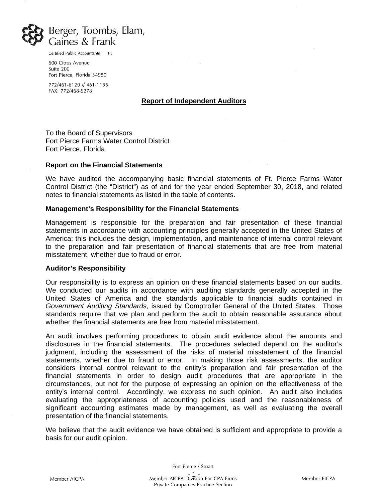

Certified Public Accountants PL

600 Citrus Avenue Suite 200 Fort Pierce, Florida 34950

772/461-6120 // 461-1155 FAX: 772/468-9278

# **Report of Independent Auditors**

To the Board of Supervisors Fort Pierce Farms Water Control District Fort Pierce, Florida

#### **Report on the Financial Statements**

We have audited the accompanying basic financial statements of Ft. Pierce Farms Water Control District (the "District") as of and for the year ended September 30, 2018, and related notes to financial statements as listed in the table of contents.

#### **Management's Responsibility for the Financial Statements**

Management is responsible for the preparation and fair presentation of these financial statements in accordance with accounting principles generally accepted in the United States of America; this includes the design, implementation, and maintenance of internal control relevant to the preparation and fair presentation of financial statements that are free from material misstatement, whether due to fraud or error.

#### **Auditor's Responsibility**

Our responsibility is to express an opinion on these financial statements based on our audits. We conducted our audits in accordance with auditing standards generally accepted in the United States of America and the standards applicable to financial audits contained in *Government Auditing Standards*, issued by Comptroller General of the United States. Those standards require that we plan and perform the audit to obtain reasonable assurance about whether the financial statements are free from material misstatement.

 statements, whether due to fraud or error. In making those risk assessments, the auditor An audit involves performing procedures to obtain audit evidence about the amounts and disclosures in the financial statements. The procedures selected depend on the auditor's judgment, including the assessment of the risks of material misstatement of the financial considers internal control relevant to the entity's preparation and fair presentation of the financial statements in order to design audit procedures that are appropriate in the circumstances, but not for the purpose of expressing an opinion on the effectiveness of the entity's internal control. Accordingly, we express no such opinion. An audit also includes evaluating the appropriateness of accounting policies used and the reasonableness of significant accounting estimates made by management, as well as evaluating the overall presentation of the financial statements.

We believe that the audit evidence we have obtained is sufficient and appropriate to provide a basis for our audit opinion.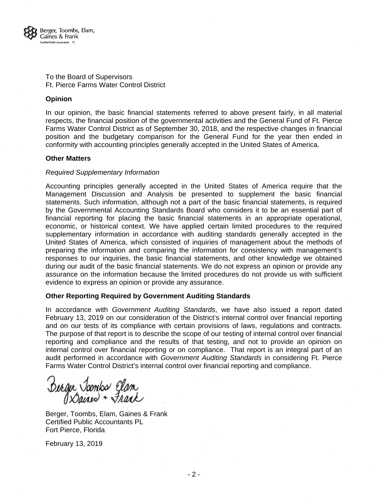

To the Board of Supervisors Ft. Pierce Farms Water Control District

#### **Opinion**

In our opinion, the basic financial statements referred to above present fairly, in all material respects, the financial position of the governmental activities and the General Fund of Ft. Pierce Farms Water Control District as of September 30, 2018, and the respective changes in financial position and the budgetary comparison for the General Fund for the year then ended in conformity with accounting principles generally accepted in the United States of America.

#### **Other Matters**

#### *Required Supplementary Information*

Accounting principles generally accepted in the United States of America require that the Management Discussion and Analysis be presented to supplement the basic financial statements. Such information, although not a part of the basic financial statements, is required by the Governmental Accounting Standards Board who considers it to be an essential part of financial reporting for placing the basic financial statements in an appropriate operational, economic, or historical context. We have applied certain limited procedures to the required supplementary information in accordance with auditing standards generally accepted in the United States of America, which consisted of inquiries of management about the methods of preparing the information and comparing the information for consistency with management's responses to our inquiries, the basic financial statements, and other knowledge we obtained during our audit of the basic financial statements. We do not express an opinion or provide any assurance on the information because the limited procedures do not provide us with sufficient evidence to express an opinion or provide any assurance.

### **Other Reporting Required by Government Auditing Standards**

In accordance with *Government Auditing Standards*, we have also issued a report dated February 13, 2019 on our consideration of the District's internal control over financial reporting and on our tests of its compliance with certain provisions of laws, regulations and contracts. The purpose of that report is to describe the scope of our testing of internal control over financial reporting and compliance and the results of that testing, and not to provide an opinion on internal control over financial reporting or on compliance. That report is an integral part of an audit performed in accordance with *Government Auditing Standards* in considering Ft. Pierce Farms Water Control District's internal control over financial reporting and compliance.

Bergin Jamba Elam

Berger, Toombs, Elam, Gaines & Frank Certified Public Accountants PL Fort Pierce, Florida

February 13, 2019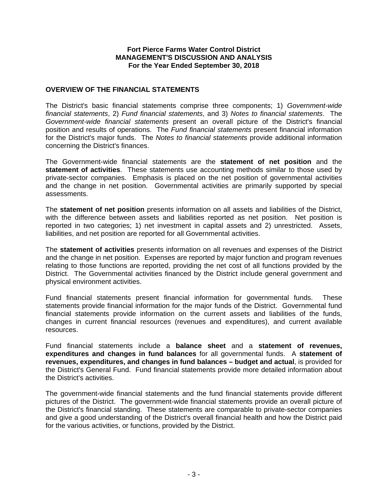# **OVERVIEW OF THE FINANCIAL STATEMENTS**

The District's basic financial statements comprise three components; 1) *Government-wide financial statements*, 2) *Fund financial statements*, and 3) *Notes to financial statements*. The *Government-wide financial statements* present an overall picture of the District's financial position and results of operations. The *Fund financial statements* present financial information for the District's major funds. The *Notes to financial statements* provide additional information concerning the District's finances.

 and the change in net position. Governmental activities are primarily supported by special The Government-wide financial statements are the **statement of net position** and the **statement of activities**. These statements use accounting methods similar to those used by private-sector companies. Emphasis is placed on the net position of governmental activities assessments.

The **statement of net position** presents information on all assets and liabilities of the District, with the difference between assets and liabilities reported as net position. Net position is reported in two categories; 1) net investment in capital assets and 2) unrestricted. Assets, liabilities, and net position are reported for all Governmental activities.

The **statement of activities** presents information on all revenues and expenses of the District and the change in net position. Expenses are reported by major function and program revenues relating to those functions are reported, providing the net cost of all functions provided by the District. The Governmental activities financed by the District include general government and physical environment activities.

Fund financial statements present financial information for governmental funds. These statements provide financial information for the major funds of the District. Governmental fund financial statements provide information on the current assets and liabilities of the funds, changes in current financial resources (revenues and expenditures), and current available resources.

Fund financial statements include a **balance sheet** and a **statement of revenues, expenditures and changes in fund balances** for all governmental funds. A **statement of revenues, expenditures, and changes in fund balances – budget and actual**, is provided for the District's General Fund. Fund financial statements provide more detailed information about the District's activities.

The government-wide financial statements and the fund financial statements provide different pictures of the District. The government-wide financial statements provide an overall picture of the District's financial standing. These statements are comparable to private-sector companies and give a good understanding of the District's overall financial health and how the District paid for the various activities, or functions, provided by the District.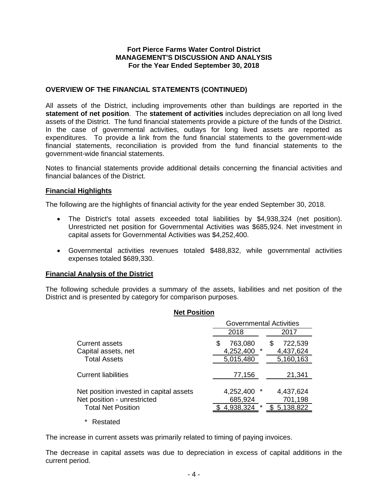# **OVERVIEW OF THE FINANCIAL STATEMENTS (CONTINUED)**

assets of the District. The fund financial statements provide a picture of the funds of the District. All assets of the District, including improvements other than buildings are reported in the **statement of net position**. The **statement of activities** includes depreciation on all long lived In the case of governmental activities, outlays for long lived assets are reported as expenditures. To provide a link from the fund financial statements to the government-wide financial statements, reconciliation is provided from the fund financial statements to the government-wide financial statements.

Notes to financial statements provide additional details concerning the financial activities and financial balances of the District.

### **Financial Highlights**

The following are the highlights of financial activity for the year ended September 30, 2018.

- The District's total assets exceeded total liabilities by \$4,938,324 (net position). Unrestricted net position for Governmental Activities was \$685,924. Net investment in capital assets for Governmental Activities was \$4,252,400.
- Governmental activities revenues totaled \$488,832, while governmental activities expenses totaled \$689,330.

### **Financial Analysis of the District**

The following schedule provides a summary of the assets, liabilities and net position of the District and is presented by category for comparison purposes.

# **Net Position**

|                                                                                                     | <b>Governmental Activities</b>               |                                          |  |
|-----------------------------------------------------------------------------------------------------|----------------------------------------------|------------------------------------------|--|
|                                                                                                     | 2018                                         | 2017                                     |  |
| <b>Current assets</b><br>Capital assets, net<br><b>Total Assets</b>                                 | 763,080<br>\$.<br>4,252,400<br>5,015,480     | 722,539<br>\$.<br>4,437,624<br>5,160,163 |  |
| <b>Current liabilities</b>                                                                          | 77,156                                       | 21,341                                   |  |
| Net position invested in capital assets<br>Net position - unrestricted<br><b>Total Net Position</b> | 4,252,400<br>685,924<br>4,938,324<br>$\star$ | 4,437,624<br>701,198<br>5,138,822        |  |

\* Restated

The increase in current assets was primarily related to timing of paying invoices.

The decrease in capital assets was due to depreciation in excess of capital additions in the current period.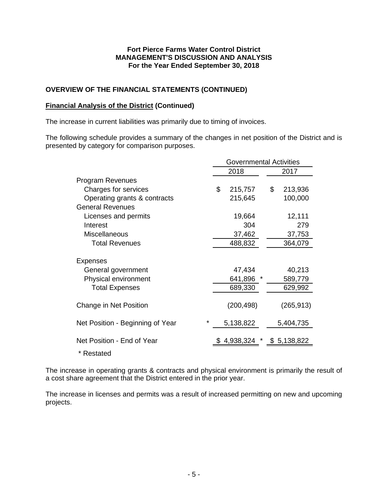# **OVERVIEW OF THE FINANCIAL STATEMENTS (CONTINUED)**

# **Financial Analysis of the District (Continued)**

The increase in current liabilities was primarily due to timing of invoices.

The following schedule provides a summary of the changes in net position of the District and is presented by category for comparison purposes.

|                                  |   | <b>Governmental Activities</b> |                             |      |            |
|----------------------------------|---|--------------------------------|-----------------------------|------|------------|
|                                  |   | 2018                           |                             | 2017 |            |
| Program Revenues                 |   |                                |                             |      |            |
| Charges for services             |   | \$                             | 215,757                     | \$   | 213,936    |
| Operating grants & contracts     |   |                                | 215,645                     |      | 100,000    |
| <b>General Revenues</b>          |   |                                |                             |      |            |
| Licenses and permits             |   |                                | 19,664                      |      | 12,111     |
| Interest                         |   |                                | 304                         |      | 279        |
| Miscellaneous                    |   |                                | 37,462                      |      | 37,753     |
| <b>Total Revenues</b>            |   |                                | 488,832                     |      | 364,079    |
| <b>Expenses</b>                  |   |                                |                             |      |            |
| General government               |   |                                | 47,434                      |      | 40,213     |
| Physical environment             |   |                                | 641,896 *                   |      | 589,779    |
| <b>Total Expenses</b>            |   |                                | 689,330                     |      | 629,992    |
| Change in Net Position           |   |                                | (200, 498)                  |      | (265, 913) |
| Net Position - Beginning of Year | * |                                | 5,138,822                   |      | 5,404,735  |
| Net Position - End of Year       |   |                                | $$4,938,324$ * $$5,138,822$ |      |            |
| * Restated                       |   |                                |                             |      |            |

The increase in operating grants & contracts and physical environment is primarily the result of a cost share agreement that the District entered in the prior year.

The increase in licenses and permits was a result of increased permitting on new and upcoming projects.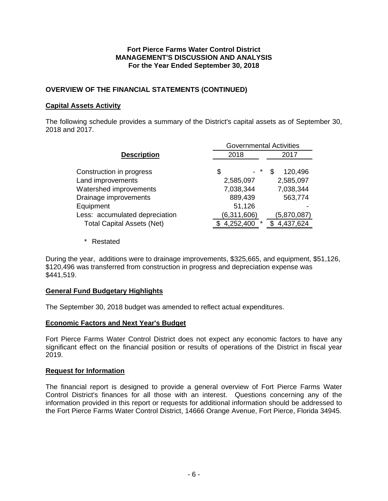# **OVERVIEW OF THE FINANCIAL STATEMENTS (CONTINUED)**

# **Capital Assets Activity**

The following schedule provides a summary of the District's capital assets as of September 30, 2018 and 2017.

|                                   | <b>Governmental Activities</b> |             |  |
|-----------------------------------|--------------------------------|-------------|--|
| <b>Description</b>                | 2018                           | 2017        |  |
|                                   |                                |             |  |
| Construction in progress          | $^\star$<br>\$                 | 120,496     |  |
| Land improvements                 | 2,585,097                      | 2,585,097   |  |
| Watershed improvements            | 7,038,344                      | 7,038,344   |  |
| Drainage improvements             | 889,439                        | 563,774     |  |
| Equipment                         | 51,126                         |             |  |
| Less: accumulated depreciation    | (6,311,606)                    | (5,870,087) |  |
| <b>Total Capital Assets (Net)</b> | 4,252,400<br>*                 | 4,437,624   |  |
|                                   |                                |             |  |

\* Restated

During the year, additions were to drainage improvements, \$325,665, and equipment, \$51,126, \$120,496 was transferred from construction in progress and depreciation expense was \$441,519.

# **General Fund Budgetary Highlights**

The September 30, 2018 budget was amended to reflect actual expenditures.

# **Economic Factors and Next Year's Budget**

Fort Pierce Farms Water Control District does not expect any economic factors to have any significant effect on the financial position or results of operations of the District in fiscal year 2019.

### **Request for Information**

The financial report is designed to provide a general overview of Fort Pierce Farms Water Control District's finances for all those with an interest. Questions concerning any of the information provided in this report or requests for additional information should be addressed to the Fort Pierce Farms Water Control District, 14666 Orange Avenue, Fort Pierce, Florida 34945.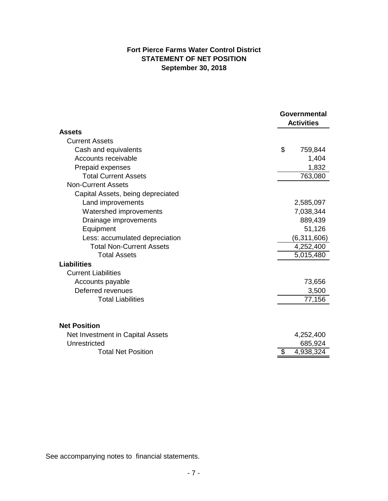# **Fort Pierce Farms Water Control District STATEMENT OF NET POSITION September 30, 2018**

|                                   | Governmental<br><b>Activities</b> |  |
|-----------------------------------|-----------------------------------|--|
| <b>Assets</b>                     |                                   |  |
| <b>Current Assets</b>             |                                   |  |
| Cash and equivalents              | \$<br>759,844                     |  |
| Accounts receivable               | 1,404                             |  |
| Prepaid expenses                  | 1,832                             |  |
| <b>Total Current Assets</b>       | 763,080                           |  |
| <b>Non-Current Assets</b>         |                                   |  |
| Capital Assets, being depreciated |                                   |  |
| Land improvements                 | 2,585,097                         |  |
| Watershed improvements            | 7,038,344                         |  |
| Drainage improvements             | 889,439                           |  |
| Equipment                         | 51,126                            |  |
| Less: accumulated depreciation    | (6,311,606)                       |  |
| <b>Total Non-Current Assets</b>   | 4,252,400                         |  |
| <b>Total Assets</b>               | 5,015,480                         |  |
| <b>Liabilities</b>                |                                   |  |
| <b>Current Liabilities</b>        |                                   |  |
| Accounts payable                  | 73,656                            |  |
| Deferred revenues                 | 3,500                             |  |
| <b>Total Liabilities</b>          | 77,156                            |  |
|                                   |                                   |  |
| <b>Net Position</b>               |                                   |  |
| Net Investment in Capital Assets  | 4,252,400                         |  |
| Unrestricted                      | 685,924                           |  |
| <b>Total Net Position</b>         | \$<br>4,938,324                   |  |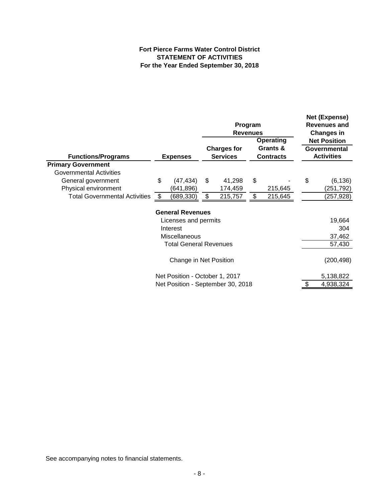# **Fort Pierce Farms Water Control District STATEMENT OF ACTIVITIES For the Year Ended September 30, 2018**

|                                                                                       | Program<br><b>Revenues</b>   |                                   |
|---------------------------------------------------------------------------------------|------------------------------|-----------------------------------|
|                                                                                       | <b>Operating</b>             | <b>Net Position</b>               |
| <b>Charges for</b><br><b>Functions/Programs</b><br><b>Services</b><br><b>Expenses</b> | Grants &<br><b>Contracts</b> | Governmental<br><b>Activities</b> |
| <b>Primary Government</b>                                                             |                              |                                   |
| <b>Governmental Activities</b>                                                        |                              |                                   |
| \$<br>(47, 434)<br>\$<br>41,298<br>General government                                 | \$                           | \$<br>(6, 136)                    |
| Physical environment<br>(641, 896)<br>174,459                                         | 215,645                      | (251, 792)                        |
| \$<br><b>Total Governmental Activities</b><br>(689,330)<br>215,757<br>\$              | \$<br>215,645                | (257,928)                         |
| <b>General Revenues</b>                                                               |                              |                                   |
| Licenses and permits                                                                  |                              | 19,664                            |
| Interest                                                                              |                              | 304                               |
| Miscellaneous                                                                         |                              | 37,462                            |
| <b>Total General Revenues</b>                                                         |                              | 57,430                            |
|                                                                                       |                              |                                   |
| Change in Net Position                                                                |                              | (200, 498)                        |
| Net Position - October 1, 2017                                                        |                              | 5,138,822                         |
| Net Position - September 30, 2018                                                     |                              | 4,938,324                         |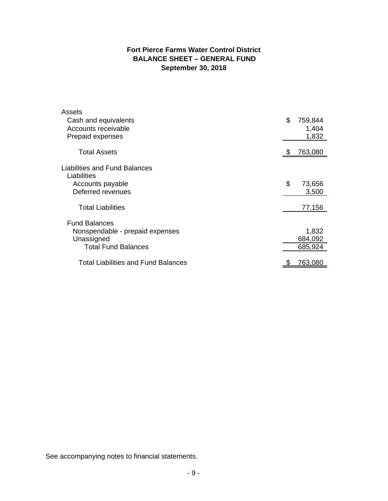# **Fort Pierce Farms Water Control District BALANCE SHEET – GENERAL FUND September 30, 2018**

| Assets<br>Cash and equivalents<br>Accounts receivable<br>Prepaid expenses | \$<br>759,844<br>1,404<br>1,832 |
|---------------------------------------------------------------------------|---------------------------------|
| <b>Total Assets</b>                                                       | 763,080                         |
| Liabilities and Fund Balances<br>Liabilities                              |                                 |
| Accounts payable<br>Deferred revenues                                     | \$<br>73,656<br>3,500           |
| <b>Total Liabilities</b>                                                  | 77,156                          |
| <b>Fund Balances</b>                                                      |                                 |
| Nonspendable - prepaid expenses                                           | 1,832                           |
| Unassigned                                                                | 684,092                         |
| <b>Total Fund Balances</b>                                                | 685,924                         |
| Total Liabilities and Fund Balances                                       | 763.080                         |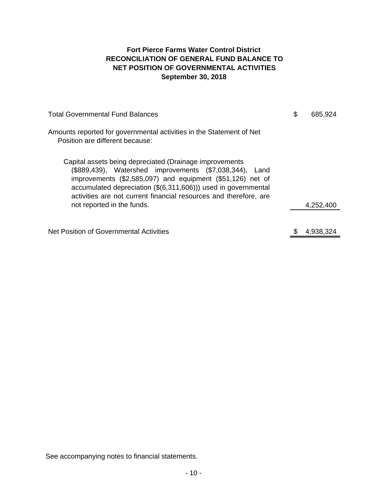# **Fort Pierce Farms Water Control District RECONCILIATION OF GENERAL FUND BALANCE TO NET POSITION OF GOVERNMENTAL ACTIVITIES September 30, 2018**

| <b>Total Governmental Fund Balances</b>                                                                                                                                                                                                                                                                                 | \$<br>685,924 |
|-------------------------------------------------------------------------------------------------------------------------------------------------------------------------------------------------------------------------------------------------------------------------------------------------------------------------|---------------|
| Amounts reported for governmental activities in the Statement of Net<br>Position are different because:                                                                                                                                                                                                                 |               |
| Capital assets being depreciated (Drainage improvements<br>(\$889,439), Watershed improvements (\$7,038,344), Land<br>improvements (\$2,585,097) and equipment (\$51,126) net of<br>accumulated depreciation (\$(6,311,606))) used in governmental<br>activities are not current financial resources and therefore, are |               |
| not reported in the funds.                                                                                                                                                                                                                                                                                              | 4,252,400     |
|                                                                                                                                                                                                                                                                                                                         |               |
| Net Position of Governmental Activities                                                                                                                                                                                                                                                                                 | 4,938,324     |
|                                                                                                                                                                                                                                                                                                                         |               |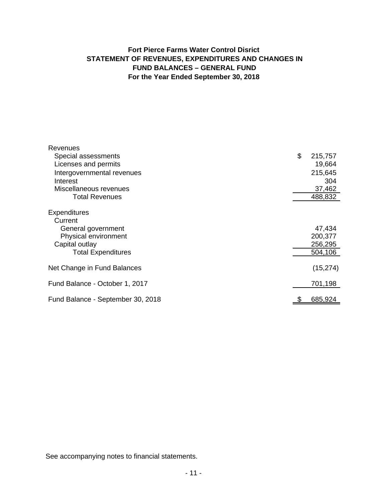# **Fort Pierce Farms Water Control Disrict STATEMENT OF REVENUES, EXPENDITURES AND CHANGES IN FUND BALANCES – GENERAL FUND For the Year Ended September 30, 2018**

| Revenues                          |               |
|-----------------------------------|---------------|
| Special assessments               | \$<br>215,757 |
| Licenses and permits              | 19,664        |
| Intergovernmental revenues        | 215,645       |
| Interest                          | 304           |
| Miscellaneous revenues            | 37,462        |
| <b>Total Revenues</b>             | 488,832       |
| <b>Expenditures</b><br>Current    |               |
| General government                | 47,434        |
| Physical environment              | 200,377       |
| Capital outlay                    | 256,295       |
| <b>Total Expenditures</b>         | 504,106       |
| Net Change in Fund Balances       | (15, 274)     |
| Fund Balance - October 1, 2017    | 701,198       |
| Fund Balance - September 30, 2018 | 685,924       |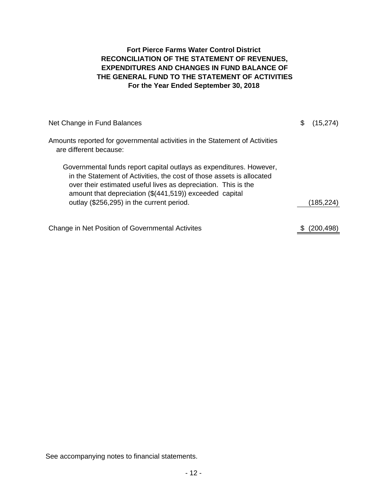# **Fort Pierce Farms Water Control District RECONCILIATION OF THE STATEMENT OF REVENUES, EXPENDITURES AND CHANGES IN FUND BALANCE OF THE GENERAL FUND TO THE STATEMENT OF ACTIVITIES For the Year Ended September 30, 2018**

| Net Change in Fund Balances                                                                                                                                                                                                                                                                                            | (15,274)  |
|------------------------------------------------------------------------------------------------------------------------------------------------------------------------------------------------------------------------------------------------------------------------------------------------------------------------|-----------|
| Amounts reported for governmental activities in the Statement of Activities<br>are different because:                                                                                                                                                                                                                  |           |
| Governmental funds report capital outlays as expenditures. However,<br>in the Statement of Activities, the cost of those assets is allocated<br>over their estimated useful lives as depreciation. This is the<br>amount that depreciation (\$(441,519)) exceeded capital<br>outlay (\$256,295) in the current period. | (185,224) |
| Change in Net Position of Governmental Activites                                                                                                                                                                                                                                                                       | (200.498  |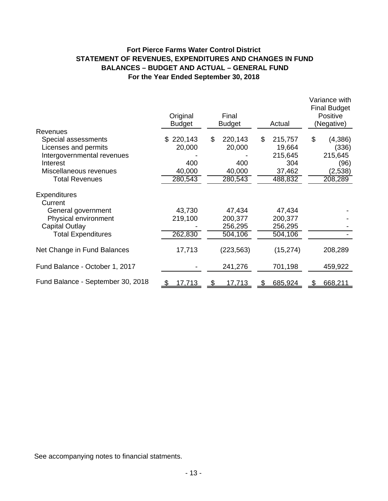# **Fort Pierce Farms Water Control District STATEMENT OF REVENUES, EXPENDITURES AND CHANGES IN FUND BALANCES – BUDGET AND ACTUAL – GENERAL FUND For the Year Ended September 30, 2018**

|                                   | Original<br><b>Budget</b> | Final<br><b>Budget</b> | Actual        | Variance with<br><b>Final Budget</b><br>Positive<br>(Negative) |
|-----------------------------------|---------------------------|------------------------|---------------|----------------------------------------------------------------|
| Revenues                          |                           |                        |               |                                                                |
| Special assessments               | \$220,143                 | 220,143<br>\$          | 215,757<br>\$ | \$<br>(4,386)                                                  |
| Licenses and permits              | 20,000                    | 20,000                 | 19,664        | (336)                                                          |
| Intergovernmental revenues        |                           |                        | 215,645       | 215,645                                                        |
| Interest                          | 400                       | 400                    | 304           | (96)                                                           |
| Miscellaneous revenues            | 40,000                    | 40,000                 | 37,462        | (2,538)                                                        |
| <b>Total Revenues</b>             | 280,543                   | 280,543                | 488,832       | 208,289                                                        |
| <b>Expenditures</b><br>Current    |                           |                        |               |                                                                |
| General government                | 43,730                    | 47,434                 | 47,434        |                                                                |
| Physical environment              | 219,100                   | 200,377                | 200,377       |                                                                |
| Capital Outlay                    |                           | 256,295                | 256,295       |                                                                |
| <b>Total Expenditures</b>         | 262,830                   | 504,106                | 504,106       |                                                                |
| Net Change in Fund Balances       | 17,713                    | (223, 563)             | (15, 274)     | 208,289                                                        |
| Fund Balance - October 1, 2017    |                           | 241,276                | 701,198       | 459,922                                                        |
| Fund Balance - September 30, 2018 | 17,713<br>S.              | 17,713<br>-S           | 685,924       | 668,211                                                        |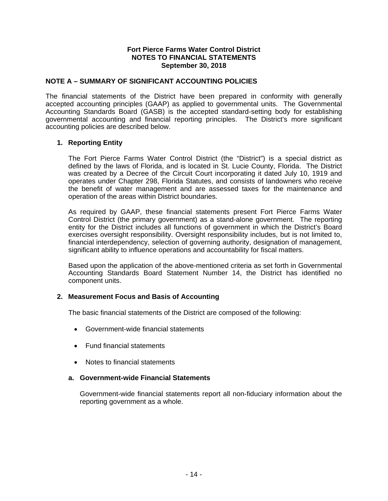# **NOTE A – SUMMARY OF SIGNIFICANT ACCOUNTING POLICIES**

The financial statements of the District have been prepared in conformity with generally accepted accounting principles (GAAP) as applied to governmental units. The Governmental Accounting Standards Board (GASB) is the accepted standard-setting body for establishing governmental accounting and financial reporting principles. The District's more significant accounting policies are described below.

## **1. Reporting Entity**

The Fort Pierce Farms Water Control District (the "District") is a special district as defined by the laws of Florida, and is located in St. Lucie County, Florida. The District was created by a Decree of the Circuit Court incorporating it dated July 10, 1919 and operates under Chapter 298, Florida Statutes, and consists of landowners who receive the benefit of water management and are assessed taxes for the maintenance and operation of the areas within District boundaries.

As required by GAAP, these financial statements present Fort Pierce Farms Water Control District (the primary government) as a stand-alone government. The reporting entity for the District includes all functions of government in which the District's Board exercises oversight responsibility. Oversight responsibility includes, but is not limited to, financial interdependency, selection of governing authority, designation of management, significant ability to influence operations and accountability for fiscal matters.

Based upon the application of the above-mentioned criteria as set forth in Governmental Accounting Standards Board Statement Number 14, the District has identified no component units.

### **2. Measurement Focus and Basis of Accounting**

The basic financial statements of the District are composed of the following:

- Government-wide financial statements
- Fund financial statements
- Notes to financial statements

### **a. Government-wide Financial Statements**

Government-wide financial statements report all non-fiduciary information about the reporting government as a whole.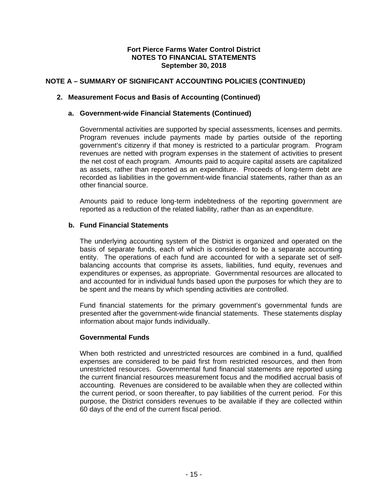# **NOTE A – SUMMARY OF SIGNIFICANT ACCOUNTING POLICIES (CONTINUED)**

# **2. Measurement Focus and Basis of Accounting (Continued)**

### **a. Government-wide Financial Statements (Continued)**

Governmental activities are supported by special assessments, licenses and permits. recorded as liabilities in the government-wide financial statements, rather than as an Program revenues include payments made by parties outside of the reporting government's citizenry if that money is restricted to a particular program. Program revenues are netted with program expenses in the statement of activities to present the net cost of each program. Amounts paid to acquire capital assets are capitalized as assets, rather than reported as an expenditure. Proceeds of long-term debt are other financial source.

Amounts paid to reduce long-term indebtedness of the reporting government are reported as a reduction of the related liability, rather than as an expenditure.

## **b. Fund Financial Statements**

The underlying accounting system of the District is organized and operated on the basis of separate funds, each of which is considered to be a separate accounting entity. The operations of each fund are accounted for with a separate set of selfbalancing accounts that comprise its assets, liabilities, fund equity, revenues and expenditures or expenses, as appropriate. Governmental resources are allocated to and accounted for in individual funds based upon the purposes for which they are to be spent and the means by which spending activities are controlled.

Fund financial statements for the primary government's governmental funds are presented after the government-wide financial statements. These statements display information about major funds individually.

### **Governmental Funds**

When both restricted and unrestricted resources are combined in a fund, qualified expenses are considered to be paid first from restricted resources, and then from unrestricted resources. Governmental fund financial statements are reported using the current financial resources measurement focus and the modified accrual basis of accounting. Revenues are considered to be available when they are collected within the current period, or soon thereafter, to pay liabilities of the current period. For this purpose, the District considers revenues to be available if they are collected within 60 days of the end of the current fiscal period.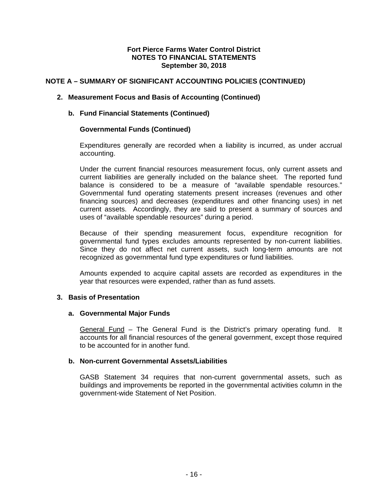# **NOTE A – SUMMARY OF SIGNIFICANT ACCOUNTING POLICIES (CONTINUED)**

# **2. Measurement Focus and Basis of Accounting (Continued)**

# **b. Fund Financial Statements (Continued)**

## **Governmental Funds (Continued)**

Expenditures generally are recorded when a liability is incurred, as under accrual accounting.

Under the current financial resources measurement focus, only current assets and current liabilities are generally included on the balance sheet. The reported fund balance is considered to be a measure of "available spendable resources." Governmental fund operating statements present increases (revenues and other financing sources) and decreases (expenditures and other financing uses) in net current assets. Accordingly, they are said to present a summary of sources and uses of "available spendable resources" during a period.

governmental fund types excludes amounts represented by non-current liabilities.<br>Since they do not affect net current assets, such long-term amounts are not Because of their spending measurement focus, expenditure recognition for recognized as governmental fund type expenditures or fund liabilities.

Amounts expended to acquire capital assets are recorded as expenditures in the year that resources were expended, rather than as fund assets.

### **3. Basis of Presentation**

### **a. Governmental Major Funds**

General Fund – The General Fund is the District's primary operating fund. It accounts for all financial resources of the general government, except those required to be accounted for in another fund.

### **b. Non-current Governmental Assets/Liabilities**

GASB Statement 34 requires that non-current governmental assets, such as buildings and improvements be reported in the governmental activities column in the government-wide Statement of Net Position.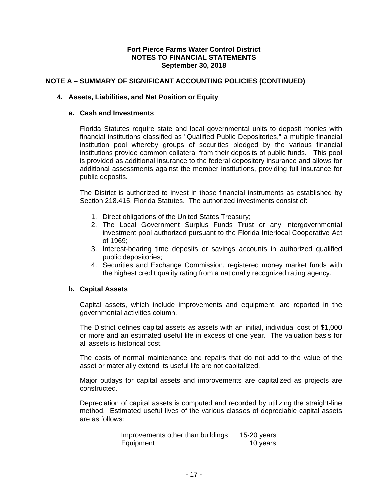# **NOTE A – SUMMARY OF SIGNIFICANT ACCOUNTING POLICIES (CONTINUED)**

### **4. Assets, Liabilities, and Net Position or Equity**

#### **a. Cash and Investments**

Florida Statutes require state and local governmental units to deposit monies with financial institutions classified as "Qualified Public Depositories," a multiple financial institution pool whereby groups of securities pledged by the various financial institutions provide common collateral from their deposits of public funds. This pool is provided as additional insurance to the federal depository insurance and allows for additional assessments against the member institutions, providing full insurance for public deposits.

The District is authorized to invest in those financial instruments as established by Section 218.415, Florida Statutes. The authorized investments consist of:

- 1. Direct obligations of the United States Treasury;
- 2. The Local Government Surplus Funds Trust or any intergovernmental investment pool authorized pursuant to the Florida Interlocal Cooperative Act of 1969;
- 3. Interest-bearing time deposits or savings accounts in authorized qualified public depositories;
- 4. Securities and Exchange Commission, registered money market funds with the highest credit quality rating from a nationally recognized rating agency.

### **b. Capital Assets**

Capital assets, which include improvements and equipment, are reported in the governmental activities column.

The District defines capital assets as assets with an initial, individual cost of \$1,000 or more and an estimated useful life in excess of one year. The valuation basis for all assets is historical cost.

The costs of normal maintenance and repairs that do not add to the value of the asset or materially extend its useful life are not capitalized.

Major outlays for capital assets and improvements are capitalized as projects are constructed.

Depreciation of capital assets is computed and recorded by utilizing the straight-line method. Estimated useful lives of the various classes of depreciable capital assets are as follows:

| Improvements other than buildings | 15-20 years |
|-----------------------------------|-------------|
| Equipment                         | 10 years    |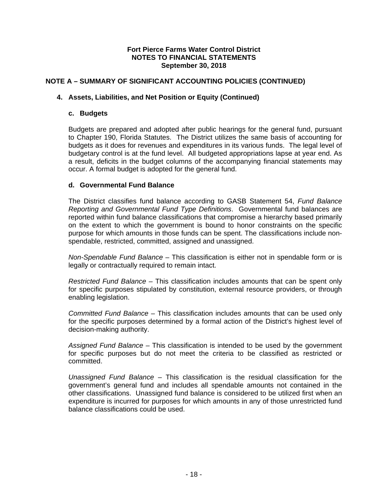# **NOTE A – SUMMARY OF SIGNIFICANT ACCOUNTING POLICIES (CONTINUED)**

# **4. Assets, Liabilities, and Net Position or Equity (Continued)**

## **c. Budgets**

 to Chapter 190, Florida Statutes. The District utilizes the same basis of accounting for Budgets are prepared and adopted after public hearings for the general fund, pursuant budgets as it does for revenues and expenditures in its various funds. The legal level of budgetary control is at the fund level. All budgeted appropriations lapse at year end. As a result, deficits in the budget columns of the accompanying financial statements may occur. A formal budget is adopted for the general fund.

## **d. Governmental Fund Balance**

 spendable, restricted, committed, assigned and unassigned. The District classifies fund balance according to GASB Statement 54, *Fund Balance Reporting and Governmental Fund Type Definitions*. Governmental fund balances are reported within fund balance classifications that compromise a hierarchy based primarily on the extent to which the government is bound to honor constraints on the specific purpose for which amounts in those funds can be spent. The classifications include non-

*Non-Spendable Fund Balance –* This classification is either not in spendable form or is legally or contractually required to remain intact.

enabling legislation. *Restricted Fund Balance –* This classification includes amounts that can be spent only for specific purposes stipulated by constitution, external resource providers, or through

*Committed Fund Balance* – This classification includes amounts that can be used only for the specific purposes determined by a formal action of the District's highest level of decision-making authority.

*Assigned Fund Balance* – This classification is intended to be used by the government for specific purposes but do not meet the criteria to be classified as restricted or committed.

*Unassigned Fund Balance* – This classification is the residual classification for the government's general fund and includes all spendable amounts not contained in the other classifications. Unassigned fund balance is considered to be utilized first when an expenditure is incurred for purposes for which amounts in any of those unrestricted fund balance classifications could be used.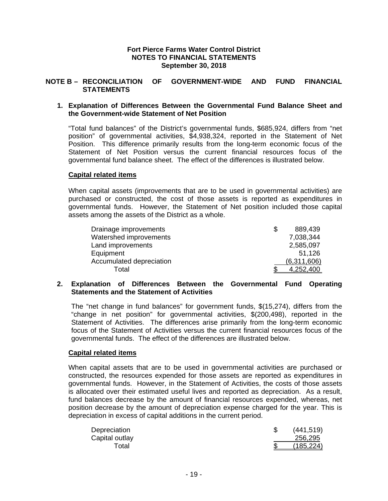### **NOTE B – RECONCILIATION OF GOVERNMENT-WIDE AND FUND FINANCIAL STATEMENTS**

### **1. Explanation of Differences Between the Governmental Fund Balance Sheet and the Government-wide Statement of Net Position**

"Total fund balances" of the District's governmental funds, \$685,924, differs from "net position" of governmental activities, \$4,938,324, reported in the Statement of Net Position. This difference primarily results from the long-term economic focus of the Statement of Net Position versus the current financial resources focus of the governmental fund balance sheet. The effect of the differences is illustrated below.

## **Capital related items**

When capital assets (improvements that are to be used in governmental activities) are purchased or constructed, the cost of those assets is reported as expenditures in governmental funds. However, the Statement of Net position included those capital assets among the assets of the District as a whole.

| Drainage improvements    | \$<br>889,439 |
|--------------------------|---------------|
| Watershed improvements   | 7,038,344     |
| Land improvements        | 2,585,097     |
| Equipment                | 51,126        |
| Accumulated depreciation | (6,311,606)   |
| Total                    | 4,252,400     |

# **2. Explanation of Differences Between the Governmental Fund Operating Statements and the Statement of Activities**

The "net change in fund balances" for government funds, \$(15,274), differs from the "change in net position" for governmental activities, \$(200,498), reported in the Statement of Activities. The differences arise primarily from the long-term economic focus of the Statement of Activities versus the current financial resources focus of the governmental funds. The effect of the differences are illustrated below.

# **Capital related items**

When capital assets that are to be used in governmental activities are purchased or constructed, the resources expended for those assets are reported as expenditures in governmental funds. However, in the Statement of Activities, the costs of those assets is allocated over their estimated useful lives and reported as depreciation. As a result, fund balances decrease by the amount of financial resources expended, whereas, net position decrease by the amount of depreciation expense charged for the year. This is depreciation in excess of capital additions in the current period.

| Depreciation   | (441, 519) |
|----------------|------------|
| Capital outlay | 256,295    |
| Total          | (185, 224) |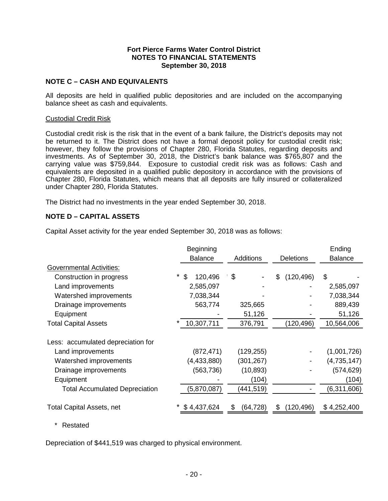## **NOTE C – CASH AND EQUIVALENTS**

All deposits are held in qualified public depositories and are included on the accompanying balance sheet as cash and equivalents.

#### Custodial Credit Risk

Custodial credit risk is the risk that in the event of a bank failure, the District's deposits may not be returned to it. The District does not have a formal deposit policy for custodial credit risk; however, they follow the provisions of Chapter 280, Florida Statutes, regarding deposits and investments. As of September 30, 2018, the District's bank balance was \$765,807 and the carrying value was \$759,844. Exposure to custodial credit risk was as follows: Cash and equivalents are deposited in a qualified public depository in accordance with the provisions of Chapter 280, Florida Statutes, which means that all deposits are fully insured or collateralized under Chapter 280, Florida Statutes.

The District had no investments in the year ended September 30, 2018.

# **NOTE D – CAPITAL ASSETS**

Capital Asset activity for the year ended September 30, 2018 was as follows:

|                                       | Beginning                |                  |                  | Ending         |
|---------------------------------------|--------------------------|------------------|------------------|----------------|
|                                       | <b>Balance</b>           | <b>Additions</b> | <b>Deletions</b> | <b>Balance</b> |
| <b>Governmental Activities:</b>       |                          |                  |                  |                |
| Construction in progress              | $\star$<br>\$<br>120,496 | \$               | \$<br>(120, 496) | \$             |
| Land improvements                     | 2,585,097                |                  |                  | 2,585,097      |
| Watershed improvements                | 7,038,344                |                  |                  | 7,038,344      |
| Drainage improvements                 | 563,774                  | 325,665          |                  | 889,439        |
| Equipment                             |                          | 51,126           |                  | 51,126         |
| <b>Total Capital Assets</b>           | 10,307,711               | 376,791          | (120, 496)       | 10,564,006     |
| Less: accumulated depreciation for    |                          |                  |                  |                |
| Land improvements                     | (872, 471)               | (129, 255)       |                  | (1,001,726)    |
| Watershed improvements                | (4,433,880)              | (301,267)        |                  | (4,735,147)    |
| Drainage improvements                 | (563, 736)               | (10, 893)        |                  | (574, 629)     |
| Equipment                             |                          | (104)            |                  | (104)          |
| <b>Total Accumulated Depreciation</b> | (5,870,087)              | (441, 519)       |                  | (6,311,606)    |
| Total Capital Assets, net             | \$4,437,624              | (64, 728)        | (120, 496)<br>\$ | \$4,252,400    |

\* Restated

Depreciation of \$441,519 was charged to physical environment.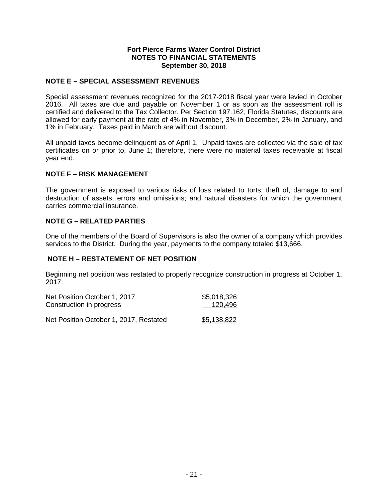# **NOTE E – SPECIAL ASSESSMENT REVENUES**

Special assessment revenues recognized for the 2017-2018 fiscal year were levied in October 2016. All taxes are due and payable on November 1 or as soon as the assessment roll is certified and delivered to the Tax Collector. Per Section 197.162, Florida Statutes, discounts are allowed for early payment at the rate of 4% in November, 3% in December, 2% in January, and 1% in February. Taxes paid in March are without discount.

All unpaid taxes become delinquent as of April 1. Unpaid taxes are collected via the sale of tax certificates on or prior to, June 1; therefore, there were no material taxes receivable at fiscal year end.

# **NOTE F – RISK MANAGEMENT**

The government is exposed to various risks of loss related to torts; theft of, damage to and destruction of assets; errors and omissions; and natural disasters for which the government carries commercial insurance.

## **NOTE G – RELATED PARTIES**

One of the members of the Board of Supervisors is also the owner of a company which provides services to the District. During the year, payments to the company totaled \$13,666.

### **NOTE H – RESTATEMENT OF NET POSITION**

Beginning net position was restated to properly recognize construction in progress at October 1, 2017:

| Net Position October 1, 2017           | \$5,018,326        |
|----------------------------------------|--------------------|
| Construction in progress               | 120,496            |
| Net Position October 1, 2017, Restated | <u>\$5,138,822</u> |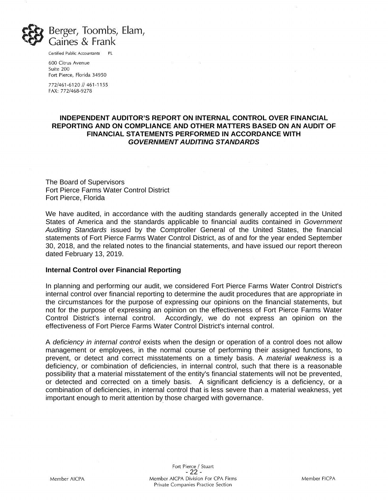

Certified Public Accountants PL

600 Citrus Avenue Suite 200 Fort Pierce, Florida 34950

772/461-6120 // 461-1155 FAX: 772/468-9278

### **INDEPENDENT AUDITOR'S REPORT ON INTERNAL CONTROL OVER FINANCIAL REPORTING AND ON COMPLIANCE AND OTHER MATTERS BASED ON AN AUDIT OF FINANCIAL STATEMENTS PERFORMED IN ACCORDANCE WITH** *GOVERNMENT AUDITING STANDARDS*

The Board of Supervisors Fort Pierce Farms Water Control District Fort Pierce, Florida

We have audited, in accordance with the auditing standards generally accepted in the United States of America and the standards applicable to financial audits contained in *Government Auditing Standards* issued by the Comptroller General of the United States, the financial statements of Fort Pierce Farms Water Control District, as of and for the year ended September 30, 2018, and the related notes to the financial statements, and have issued our report thereon dated February 13, 2019.

## **Internal Control over Financial Reporting**

In planning and performing our audit, we considered Fort Pierce Farms Water Control District's internal control over financial reporting to determine the audit procedures that are appropriate in the circumstances for the purpose of expressing our opinions on the financial statements, but not for the purpose of expressing an opinion on the effectiveness of Fort Pierce Farms Water Control District's internal control. Accordingly, we do not express an opinion on the effectiveness of Fort Pierce Farms Water Control District's internal control.

A *deficiency in internal control* exists when the design or operation of a control does not allow management or employees, in the normal course of performing their assigned functions, to prevent, or detect and correct misstatements on a timely basis. A *material weakness* is a deficiency, or combination of deficiencies, in internal control, such that there is a reasonable possibility that a material misstatement of the entity's financial statements will not be prevented, or detected and corrected on a timely basis. A significant deficiency is a deficiency, or a combination of deficiencies, in internal control that is less severe than a material weakness, yet important enough to merit attention by those charged with governance.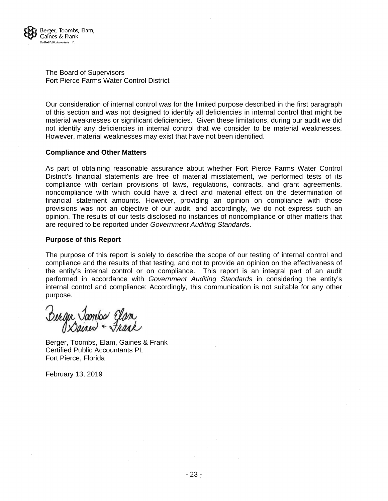

The Board of Supervisors Fort Pierce Farms Water Control District

not identify any deficiencies in internal control that we consider to be material weaknesses.<br>However, material weaknesses may exist that have not been identified. Our consideration of internal control was for the limited purpose described in the first paragraph of this section and was not designed to identify all deficiencies in internal control that might be material weaknesses or significant deficiencies. Given these limitations, during our audit we did

#### **Compliance and Other Matters**

As part of obtaining reasonable assurance about whether Fort Pierce Farms Water Control District's financial statements are free of material misstatement, we performed tests of its compliance with certain provisions of laws, regulations, contracts, and grant agreements, noncompliance with which could have a direct and material effect on the determination of financial statement amounts. However, providing an opinion on compliance with those provisions was not an objective of our audit, and accordingly, we do not express such an opinion. The results of our tests disclosed no instances of noncompliance or other matters that are required to be reported under *Government Auditing Standards*.

#### **Purpose of this Report**

The purpose of this report is solely to describe the scope of our testing of internal control and compliance and the results of that testing, and not to provide an opinion on the effectiveness of the entity's internal control or on compliance. This report is an integral part of an audit performed in accordance with *Government Auditing Standards* in considering the entity's internal control and compliance. Accordingly, this communication is not suitable for any other purpose.

Burgin Jooniks Clam

Berger, Toombs, Elam, Gaines & Frank Certified Public Accountants PL Fort Pierce, Florida

February 13, 2019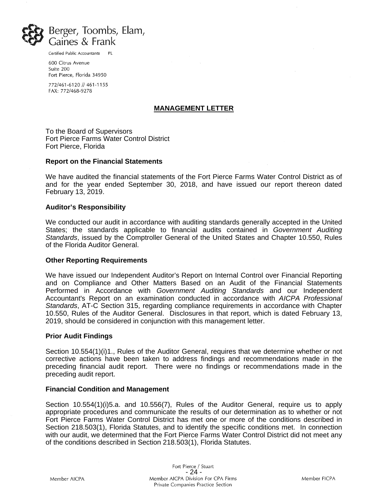

Certified Public Accountants

600 Citrus Avenue Suite 200 Fort Pierce, Florida 34950

772/461-6120 // 461-1155 FAX: 772/468-9278

#### **MANAGEMENT LETTER**

To the Board of Supervisors Fort Pierce Farms Water Control District Fort Pierce, Florida

#### **Report on the Financial Statements**

We have audited the financial statements of the Fort Pierce Farms Water Control District as of and for the year ended September 30, 2018, and have issued our report thereon dated February 13, 2019.

#### **Auditor's Responsibility**

We conducted our audit in accordance with auditing standards generally accepted in the United States; the standards applicable to financial audits contained in *Government Auditing Standards*, issued by the Comptroller General of the United States and Chapter 10.550, Rules of the Florida Auditor General.

#### **Other Reporting Requirements**

We have issued our Independent Auditor's Report on Internal Control over Financial Reporting and on Compliance and Other Matters Based on an Audit of the Financial Statements Performed in Accordance with *Government Auditing Standards* and our Independent Accountant's Report on an examination conducted in accordance with *AICPA Professional Standards*, AT-C Section 315, regarding compliance requirements in accordance with Chapter 10.550, Rules of the Auditor General. Disclosures in that report, which is dated February 13, 2019, should be considered in conjunction with this management letter.

#### **Prior Audit Findings**

Section 10.554(1)(i)1., Rules of the Auditor General, requires that we determine whether or not corrective actions have been taken to address findings and recommendations made in the preceding financial audit report. There were no findings or recommendations made in the preceding audit report.

#### **Financial Condition and Management**

 Section 218.503(1), Florida Statutes, and to identify the specific conditions met. In connection Section 10.554(1)(i)5.a. and 10.556(7), Rules of the Auditor General, require us to apply appropriate procedures and communicate the results of our determination as to whether or not Fort Pierce Farms Water Control District has met one or more of the conditions described in with our audit, we determined that the Fort Pierce Farms Water Control District did not meet any of the conditions described in Section 218.503(1), Florida Statutes.